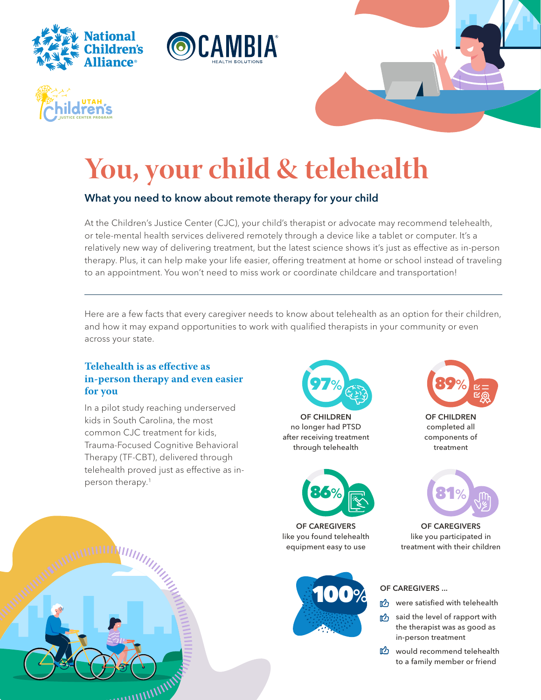







# **You, your child & telehealth**

## What you need to know about remote therapy for your child

At the Children's Justice Center (CJC), your child's therapist or advocate may recommend telehealth, or tele-mental health services delivered remotely through a device like a tablet or computer. It's a relatively new way of delivering treatment, but the latest science shows it's just as effective as in-person therapy. Plus, it can help make your life easier, offering treatment at home or school instead of traveling to an appointment. You won't need to miss work or coordinate childcare and transportation!

Here are a few facts that every caregiver needs to know about telehealth as an option for their children, and how it may expand opportunities to work with qualified therapists in your community or even across your state.

#### **Telehealth is as effective as in-person therapy and even easier for you**

In a pilot study reaching underserved kids in South Carolina, the most common CJC treatment for kids, Trauma-Focused Cognitive Behavioral Therapy (TF-CBT), delivered through telehealth proved just as effective as inperson therapy.<sup>1</sup>



OF CHILDREN no longer had PTSD after receiving treatment through telehealth



OF CAREGIVERS like you found telehealth equipment easy to use





OF CHILDREN completed all components of treatment



OF CAREGIVERS like you participated in treatment with their children



- were satisfied with telehealth
- the level of rapport with the therapist was as good as in-person treatment
- would recommend telehealth to a family member or friend